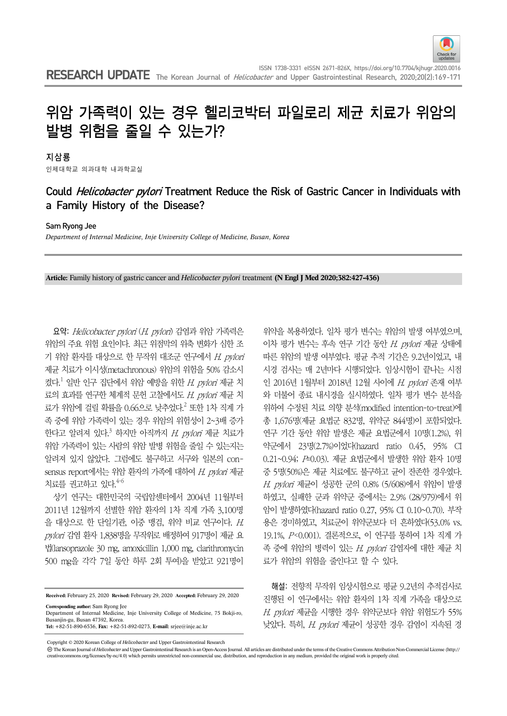

# 위암 가족력이 있는 경우 헬리코박터 파일로리 제균 치료가 위암의 발병 위험을 줄일 수 있는가?

지삼룡

인제대학교 의과대학 내과학교실

## Could *Helicobacter pylori* Treatment Reduce the Risk of Gastric Cancer in Individuals with a Family History of the Disease?

Sam Ryong Jee

*Department of Internal Medicine, Inje University College of Medicine, Busan, Korea*

**Article:** Family history of gastric cancer and *Helicobacter pylori* treatment **(N Engl J Med 2020;382:427-436)**

요약: Helicobacter pylori (H. pylori) 감염과 위암 가족력은 위암의 주요 위험 요인이다. 최근 위점막의 위축 변화가 심한 조 기 위암 환자를 대상으로 한 무작위 대조군 연구에서 H. pylori 제균 치료가 이시성(metachronous) 위암의 위험을 50% 감소시 켰다. $^1$  일반 인구 집단에서 위암 예방을 위한  $H$   $p$ ylori 제균 치 료의 효과를 연구한 체계적 문헌 고찰에서도 H. pylori 제균 치 료가 위암에 걸릴 확률을 0.66으로 낮추었다.<sup>2</sup> 또한 1차 직계 가 족 중에 위암 가족력이 있는 경우 위암의 위험성이 2~3배 증가 한다고 알려져 있다.<sup>3</sup> 하지만 아직까지 *H. pylori* 제균 치료가 위암 가족력이 있는 사람의 위암 발병 위험을 줄일 수 있는지는 알려져 있지 않았다. 그럼에도 불구하고 서구와 일본의 consensus report에서는 위암 환자의 가족에 대하여 H. pylori 제균 치료를 권고하고 있다.<sup>4-6</sup>

상기 연구는 대한민국의 국립암센터에서 2004년 11월부터 2011년 12월까지 선별한 위암 환자의 1차 직계 가족 3,100명 을 대상으로 한 단일기관, 이중 맹검, 위약 비교 연구이다. H. pylori 감염 환자 1,838명을 무작위로 배정하여 917명이 제균 요 법(lansoprazole 30 mg, amoxicillin 1,000 mg, clarithromycin 500 mg을 각각 7일 동안 하루 2회 투여)을 받았고 921명이

**Received:** February 25, 2020 **Revised:** February 29, 2020 **Accepted:** February 29, 2020

**Tel:** +82-51-890-6536, **Fax:** +82-51-892-0273, **E-mail:** srjee@inje.ac.kr

위약을 복용하였다. 일차 평가 변수는 위암의 발생 여부였으며, 이차 평가 변수는 후속 연구 기간 동안 H. pylori 제균 상태에 따른 위암의 발생 여부였다. 평균 추적 기간은 9.2년이었고, 내 시경 검사는 매 2년마다 시행되었다. 임상시험이 끝나는 시점 인 2016년 1월부터 2018년 12월 사이에 H. pylori 존재 여부 와 더불어 종료 내시경을 실시하였다. 일차 평가 변수 분석을 위하여 수정된 치료 의향 분석(modified intention-to-treat)에 총 1,676명(제균 요법군 832명, 위약군 844명)이 포함되었다. 연구 기간 동안 위암 발생은 제균 요법군에서 10명(1.2%), 위 약군에서 23명(2.7%)이었다(hazard ratio 0.45, 95% CI 0.21~0.94; P=0.03). 제균 요법군에서 발생한 위암 환자 10명 중 5명(50%)은 제균 치료에도 불구하고 균이 잔존한 경우였다. H. pylori 제균이 성공한 군의 0.8% (5/608)에서 위암이 발생 하였고, 실패한 군과 위약군 중에서는 2.9% (28/979)에서 위 암이 발생하였다(hazard ratio 0.27, 95% CI 0.10~0.70). 부작 용은 경미하였고, 치료군이 위약군보다 더 흔하였다(53.0% vs. 19.1%, P<0.001). 결론적으로, 이 연구를 통하여 1차 직계 가 족 중에 위암의 병력이 있는 H. pylori 감염자에 대한 제균 치 료가 위암의 위험을 줄인다고 할 수 있다.

해설: 전향적 무작위 임상시험으로 평균 9.2년의 추적검사로 진행된 이 연구에서는 위암 환자의 1차 직계 가족을 대상으로  $H.$   $p$ vlori 제균을 시행한 경우 위약군보다 위암 위험도가 55% 낮았다. 특히, H. pylori 제균이 성공한 경우 감염이 지속된 경

Copyright © 2020 Korean College of *Helicobacter* and Upper Gastrointestinal Research

**Corresponding author:** Sam Ryong Jee Department of Internal Medicine, Inje University College of Medicine, 75 Bokji-ro, Busanjin-gu, Busan 47392, Korea.

The Korean Journal of *Helicobacter* and Upper Gastrointestinal Research is an Open-Access Journal. All articles are distributed under the terms of the Creative Commons Attribution Non-Commercial License (http:// creativecommons.org/licenses/by-nc/4.0) which permits unrestricted non-commercial use, distribution, and reproduction in any medium, provided the original work is properly cited.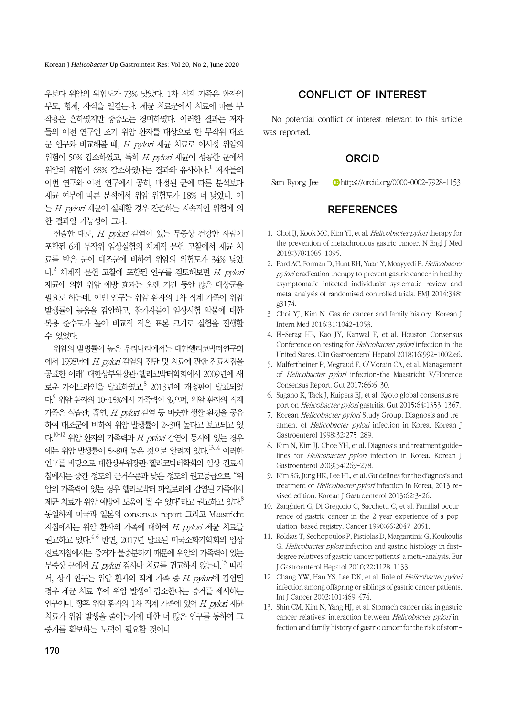Korean J *Helicobacter* Up Gastrointest Res: Vol 20, No 2, June 2020

우보다 위암의 위험도가 73% 낮았다. 1차 직계 가족은 환자의 부모, 형제, 자식을 일컫는다. 제균 치료군에서 치료에 따른 부 작용은 흔하였지만 중증도는 경미하였다. 이러한 결과는 저자 들의 이전 연구인 조기 위암 환자를 대상으로 한 무작위 대조 군 연구와 비교해볼 때,  $H.$  pvlori 제균 치료로 이시성 위암의 위험이 50% 감소하였고, 특히 H. pylori 제균이 성공한 군에서 위암의 위험이 68% 감소하였다는 결과와 유사하다.<sup>1</sup> 저자들의 이번 연구와 이전 연구에서 공히, 배정된 군에 따른 분석보다 제균 여부에 따른 분석에서 위암 위험도가 18% 더 낮았다. 이 는 H. pylori 제균이 실패할 경우 잔존하는 지속적인 위험에 의 한 결과일 가능성이 크다.

전술한 대로, H. pylori 감염이 있는 무증상 건강한 사람이 포함된 6개 무작위 임상실험의 체계적 문헌 고찰에서 제균 치 료를 받은 군이 대조군에 비하여 위암의 위험도가 34% 낮았 다.<sup>2</sup> 체계적 문헌 고찰에 포함된 연구를 검토해보면 *H. pylori* 제균에 의한 위암 예방 효과는 오랜 기간 동안 많은 대상군을 필요로 하는데, 이번 연구는 위암 환자의 1차 직계 가족이 위암 발생률이 높음을 감안하고, 참가자들이 임상시험 약물에 대한 복용 준수도가 높아 비교적 적은 표본 크기로 실험을 진행할 수 있었다.

위암의 발병률이 높은 우리나라에서는 대한헬리코박터연구회 에서 1998년에 H. pylori 감염의 진단 및 치료에 관한 진료지침을 공표한 이래 $^{7}$  대한상부위장관·헬리코박터학회에서 2009년에 새 로운 가이드라인을 발표하였고, $^8$  2013년에 개정판이 발표되었 다. 이 위암 환자의 10~15%에서 기족력이 있으며, 위암 환자의 직계 가족은 식습관, 흡연, H. pylori 감염 등 비슷한 생활 환경을 공유 하여 대조군에 비하여 위암 발생률이 2~3배 높다고 보고되고 있 다.<sup>10-12</sup> 위암 환자의 기족력과 H. pylori 감염이 동시에 있는 경우 에는 위암 발생률이 5~8배 높은 것으로 알려져 있다.<sup>13,14</sup> 이러한 연구를 바탕으로 대한상부위장관·헬리코박터학회의 임상 진료지 침에서는 중간 정도의 근거수준과 낮은 정도의 권고등급으로 "위 암의 가족력이 있는 경우 헬리코박터 파일로리에 감염된 가족에서 제균 치료가 위암 예방에 도움이 될 수 있다"라고 권고하고 있다. $^8$ 동일하게 미국과 일본의 consensus report 그리고 Maastricht 지침에서는 위암 환자의 가족에 대하여 H. pylori 제균 치료를 권고하고 있다.<sup>4-6</sup> 반면, 2017년 발표된 미국소화기학회의 임상 진료지침에서는 증거가 불충분하기 때문에 위암의 가족력이 있는 무증상 군에서 H. pylori 검사나 치료를 권고하지 않는다.<sup>15</sup> 따라 서, 상기 연구는 위암 환자의 직계 가족 중 H. pvlor에 감염된 경우 제균 치료 후에 위암 발생이 감소한다는 증거를 제시하는 연구이다. 향후 위암 화자의 1차 직계 가족에 있어 H. pylori 제규 치료가 위암 발생을 줄이는가에 대한 더 많은 연구를 통하여 그 증거를 확보하는 노력이 필요할 것이다.

## CONFLICT OF INTEREST

No potential conflict of interest relevant to this article was reported.

### **ORCID**

Sam Ryong Jee https://orcid.org/0000-0002-7928-1153

### REFERENCES

- 1. Choi IJ, Kook MC, Kim YI, et al. Helicobacter pylori therapy for the prevention of metachronous gastric cancer. N Engl J Med 2018;378:1085-1095.
- 2. Ford AC, Forman D, Hunt RH, Yuan Y, Moayyedi P. Helicobacter pylori eradication therapy to prevent gastric cancer in healthy asymptomatic infected individuals: systematic review and meta-analysis of randomised controlled trials. BMJ 2014;348: g3174.
- 3. Choi YJ, Kim N. Gastric cancer and family history. Korean J Intern Med 2016;31:1042-1053.
- 4. El-Serag HB, Kao JY, Kanwal F, et al. Houston Consensus Conference on testing for Helicobacter pylori infection in the United States. Clin Gastroenterol Hepatol 2018;16:992-1002.e6.
- 5. Malfertheiner P, Megraud F, O'Morain CA, et al. Management of Helicobacter pylori infection-the Maastricht V/Florence Consensus Report. Gut 2017;66:6-30.
- 6. Sugano K, Tack J, Kuipers EJ, et al. Kyoto global consensus report on Helicobacter pylori gastritis. Gut 2015;64:1353-1367.
- 7. Korean Helicobacter pylori Study Group. Diagnosis and treatment of *Helicobacter pylori* infection in Korea. Korean J Gastroenterol 1998;32:275-289.
- 8. Kim N, Kim JJ, Choe YH, et al. Diagnosis and treatment guidelines for Helicobacter pylori infection in Korea. Korean J Gastroenterol 2009;54:269-278.
- 9. Kim SG, Jung HK, Lee HL, et al. Guidelines for the diagnosis and treatment of Helicobacter pylori infection in Korea, 2013 revised edition. Korean J Gastroenterol 2013;62:3-26.
- 10. Zanghieri G, Di Gregorio C, Sacchetti C, et al. Familial occurrence of gastric cancer in the 2-year experience of a population-based registry. Cancer 1990;66:2047-2051.
- 11. Rokkas T, Sechopoulos P, Pistiolas D, Margantinis G, Koukoulis G. Helicobacter pylori infection and gastric histology in firstdegree relatives of gastric cancer patients: a meta-analysis. Eur J Gastroenterol Hepatol 2010;22:1128-1133.
- 12. Chang YW, Han YS, Lee DK, et al. Role of *Helicobacter pylori* infection among offspring or siblings of gastric cancer patients. Int J Cancer 2002;101:469-474.
- 13. Shin CM, Kim N, Yang HJ, et al. Stomach cancer risk in gastric cancer relatives: interaction between Helicobacter pylori infection and family history of gastric cancer for the risk of stom-